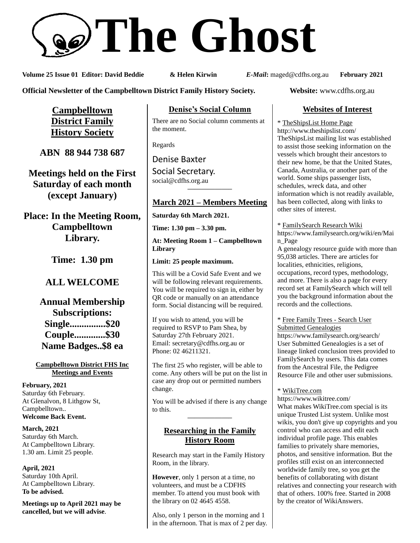# **The Ghost**

**Volume 25 Issue 01 Editor: David Beddie & Helen Kirwin** *E-Mail***:** maged@cdfhs.org.au **February 2021**

**Official Newsletter of the Campbelltown District Family History Society. Website: www.cdfhs.org.au** 

**Campbelltown District Family History Society**

**ABN 88 944 738 687**

**Meetings held on the First Saturday of each month (except January)**

**Place: In the Meeting Room, Campbelltown Library.**

**Time: 1.30 pm**

# **ALL WELCOME**

**Annual Membership Subscriptions: Single...............\$20 Couple.............\$30 Name Badges..\$8 ea**

#### **Campbelltown District FHS Inc Meetings and Events**

**February, 2021** Saturday 6th February. At Glenalvon, 8 Lithgow St, Campbelltown.. **Welcome Back Event.**

**March, 2021** Saturday 6th March. At Campbelltown Library. 1.30 am. Limit 25 people.

**April, 2021** Saturday 10th April. At Campbelltown Library. **To be advised.**

**Meetings up to April 2021 may be cancelled, but we will advise**.

**Denise's Social Column**

There are no Social column comments at the moment.

Regards

Denise Baxter Social Secretary. [social@cdfhs.org.au](mailto:social@cdfhs.org.au) **——————–**

# **March 2021 – Members Meeting**

**Saturday 6th March 2021.**

**Time: 1.30 pm – 3.30 pm.**

**At: Meeting Room 1 – Campbelltown Library**

**Limit: 25 people maximum.**

This will be a Covid Safe Event and we will be following relevant requirements. You will be required to sign in, either by QR code or manually on an attendance form. Social distancing will be required.

If you wish to attend, you will be required to RSVP to Pam Shea, by Saturday 27th February 2021. Email: [secretary@cdfhs.org.au](mailto:secretary@cdfhs.org.au) or Phone: 02 46211321.

The first 25 who register, will be able to come. Any others will be put on the list in case any drop out or permitted numbers change.

You will be advised if there is any change to this. **——————–**

# **Researching in the Family History Room**

Research may start in the Family History Room, in the library.

**However**, only 1 person at a time, no volunteers, and must be a CDFHS member. To attend you must book with the library on 02 4645 4558.

Also, only 1 person in the morning and 1 in the afternoon. That is max of 2 per day.

# **Websites of Interest**

\* TheShipsList Home Page http://www.theshipslist.com/ TheShipsList mailing list was established to assist those seeking information on the vessels which brought their ancestors to their new home, be that the United States, Canada, Australia, or another part of the world. Some ships passenger lists, schedules, wreck data, and other information which is not readily available, has been collected, along with links to other sites of interest.

\* FamilySearch Research Wiki

https://www.familysearch.org/wiki/en/Mai n\_Page

A genealogy resource guide with more than 95,038 articles. There are articles for localities, ethnicities, religions, occupations, record types, methodology, and more. There is also a page for every record set at FamilySearch which will tell you the background information about the records and the collections.

\* Free Family Trees - Search User Submitted Genealogies https://www.familysearch.org/search/ User Submitted Genealogies is a set of

lineage linked conclusion trees provided to FamilySearch by users. This data comes from the Ancestral File, the Pedigree Resource File and other user submissions.

## \* WikiTree.com

https://www.wikitree.com/ What makes WikiTree.com special is its unique Trusted List system. Unlike most wikis, you don't give up copyrights and you control who can access and edit each individual profile page. This enables families to privately share memories, photos, and sensitive information. But the profiles still exist on an interconnected worldwide family tree, so you get the benefits of collaborating with distant relatives and connecting your research with that of others. 100% free. Started in 2008 by the creator of WikiAnswers.